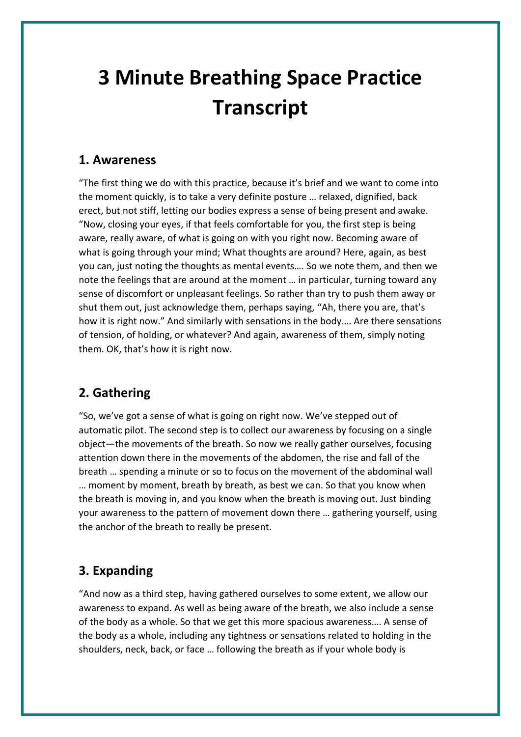## **3 Minute Breathing Space Practice Transcript**

## **1. Awareness**

"The first thing we do with this practice, because it's brief and we want to come into the moment quickly, is to take a very definite posture … relaxed, dignified, back erect, but not stiff, letting our bodies express a sense of being present and awake. "Now, closing your eyes, if that feels comfortable for you, the first step is being aware, really aware, of what is going on with you right now. Becoming aware of what is going through your mind; What thoughts are around? Here, again, as best you can, just noting the thoughts as mental events…. So we note them, and then we note the feelings that are around at the moment … in particular, turning toward any sense of discomfort or unpleasant feelings. So rather than try to push them away or shut them out, just acknowledge them, perhaps saying, "Ah, there you are, that's how it is right now." And similarly with sensations in the body…. Are there sensations of tension, of holding, or whatever? And again, awareness of them, simply noting them. OK, that's how it is right now.

## **2. Gathering**

"So, we've got a sense of what is going on right now. We've stepped out of automatic pilot. The second step is to collect our awareness by focusing on a single object—the movements of the breath. So now we really gather ourselves, focusing attention down there in the movements of the abdomen, the rise and fall of the breath … spending a minute or so to focus on the movement of the abdominal wall … moment by moment, breath by breath, as best we can. So that you know when the breath is moving in, and you know when the breath is moving out. Just binding your awareness to the pattern of movement down there … gathering yourself, using the anchor of the breath to really be present.

## **3. Expanding**

"And now as a third step, having gathered ourselves to some extent, we allow our awareness to expand. As well as being aware of the breath, we also include a sense of the body as a whole. So that we get this more spacious awareness…. A sense of the body as a whole, including any tightness or sensations related to holding in the shoulders, neck, back, or face … following the breath as if your whole body is